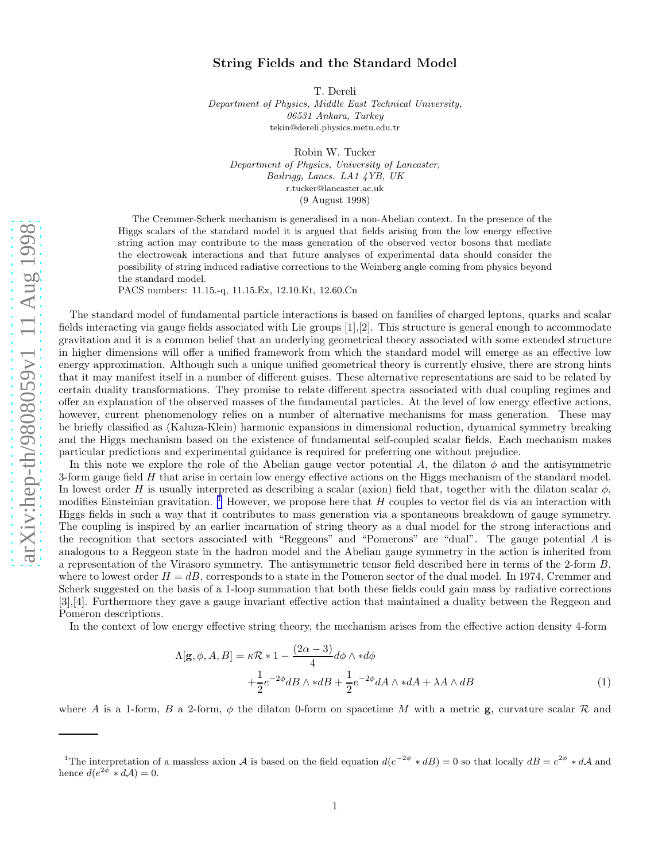## String Fields and the Standard Model

T. Dereli

Department of Physics, Middle East Technical University, 06531 Ankara, Turkey tekin@dereli.physics.metu.edu.tr

Robin W. Tucker Department of Physics, University of Lancaster, Bailrigg, Lancs. LA1 4YB, UK r.tucker@lancaster.ac.uk (9 August 1998)

The Cremmer-Scherk mechanism is generalised in a non-Abelian context. In the presence of the Higgs scalars of the standard model it is argued that fields arising from the low energy effective string action may contribute to the mass generation of the observed vector bosons that mediate the electroweak interactions and that future analyses of experimental data should consider the possibility of string induced radiative corrections to the Weinberg angle coming from physics beyond the standard model.

PACS numbers: 11.15.-q, 11.15.Ex, 12.10.Kt, 12.60.Cn

The standard model of fundamental particle interactions is based on families of charged leptons, quarks and scalar fields interacting via gauge fields associated with Lie groups [1],[2]. This structure is general enough to accommodate gravitation and it is a common belief that an underlying geometrical theory associated with some extended structure in higher dimensions will offer a unified framework from which the standard model will emerge as an effective low energy approximation. Although such a unique unified geometrical theory is currently elusive, there are strong hints that it may manifest itself in a number of different guises. These alternative representations are said to be related by certain duality transformations. They promise to relate different spectra associated with dual coupling regimes and offer an explanation of the observed masses of the fundamental particles. At the level of low energy effective actions, however, current phenomenology relies on a number of alternative mechanisms for mass generation. These may be briefly classified as (Kaluza-Klein) harmonic expansions in dimensional reduction, dynamical symmetry breaking and the Higgs mechanism based on the existence of fundamental self-coupled scalar fields. Each mechanism makes particular predictions and experimental guidance is required for preferring one without prejudice.

In this note we explore the role of the Abelian gauge vector potential A, the dilaton  $\phi$  and the antisymmetric 3-form gauge field  $H$  that arise in certain low energy effective actions on the Higgs mechanism of the standard model. In lowest order H is usually interpreted as describing a scalar (axion) field that, together with the dilaton scalar  $\phi$ , modifies Einsteinian gravitation.<sup>1</sup> However, we propose here that  $H$  couples to vector fiel ds via an interaction with Higgs fields in such a way that it contributes to mass generation via a spontaneous breakdown of gauge symmetry. The coupling is inspired by an earlier incarnation of string theory as a dual model for the strong interactions and the recognition that sectors associated with "Reggeons" and "Pomerons" are "dual". The gauge potential A is analogous to a Reggeon state in the hadron model and the Abelian gauge symmetry in the action is inherited from a representation of the Virasoro symmetry. The antisymmetric tensor field described here in terms of the 2-form B , where to lowest order  $H = dB$ , corresponds to a state in the Pomeron sector of the dual model. In 1974, Cremmer and Scherk suggested on the basis of a 1-loop summation that both these fields could gain mass by radiative corrections [3],[4]. Furthermore they gave a gauge invariant effective action that maintained a duality between the Reggeon and Pomeron descriptions.

In the context of low energy effective string theory, the mechanism arises from the effective action density 4-form

$$
\Lambda[\mathbf{g}, \phi, A, B] = \kappa \mathcal{R} * 1 - \frac{(2\alpha - 3)}{4} d\phi \wedge * d\phi
$$
  
 
$$
+ \frac{1}{2} e^{-2\phi} dB \wedge * dB + \frac{1}{2} e^{-2\phi} dA \wedge * dA + \lambda A \wedge dB \qquad (1)
$$

where A is a 1-form, B a 2-form,  $\phi$  the dilaton 0-form on spacetime M with a metric **g**, curvature scalar R and

<sup>&</sup>lt;sup>1</sup>The interpretation of a massless axion A is based on the field equation  $d(e^{-2\phi} * dB) = 0$  so that locally  $dB = e^{2\phi} * dA$  and hence  $d(e^{2\phi^*} * d\mathcal{A}) = 0$ .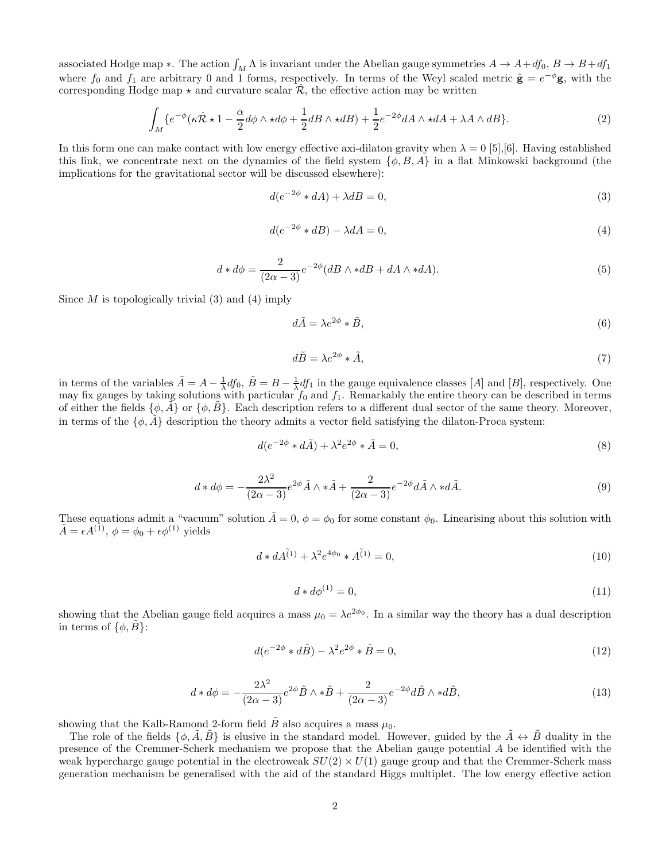associated Hodge map  $*$ . The action  $\int_M \Lambda$  is invariant under the Abelian gauge symmetries  $A \to A + df_0$ ,  $B \to B + df_1$ where  $f_0$  and  $f_1$  are arbitrary 0 and 1 forms, respectively. In terms of the Weyl scaled metric  $\hat{\mathbf{g}} = e^{-\phi} \mathbf{g}$ , with the corresponding Hodge map  $\star$  and curvature scalar  $\hat{\mathcal{R}}$ , the effective action may be written

$$
\int_{M} \{e^{-\phi}(\kappa \hat{\mathcal{R}} \star 1 - \frac{\alpha}{2} d\phi \wedge \star d\phi + \frac{1}{2} dB \wedge \star dB) + \frac{1}{2} e^{-2\phi} dA \wedge \star dA + \lambda A \wedge dB\}.
$$
\n(2)

In this form one can make contact with low energy effective axi-dilaton gravity when  $\lambda = 0$  [5], [6]. Having established this link, we concentrate next on the dynamics of the field system  $\{\phi, B, A\}$  in a flat Minkowski background (the implications for the gravitational sector will be discussed elsewhere):

$$
d(e^{-2\phi} * dA) + \lambda dB = 0,\t\t(3)
$$

$$
d(e^{-2\phi} * dB) - \lambda dA = 0,\t\t(4)
$$

$$
d * d\phi = \frac{2}{(2\alpha - 3)} e^{-2\phi} (dB \wedge * dB + dA \wedge * dA). \tag{5}
$$

Since  $M$  is topologically trivial (3) and (4) imply

$$
d\tilde{A} = \lambda e^{2\phi} * \tilde{B},\tag{6}
$$

$$
d\tilde{B} = \lambda e^{2\phi} * \tilde{A},\tag{7}
$$

in terms of the variables  $\tilde{A} = A - \frac{1}{\lambda} df_0$ ,  $\tilde{B} = B - \frac{1}{\lambda} df_1$  in the gauge equivalence classes [A] and [B], respectively. One may fix gauges by taking solutions with particular  $f_0$  and  $f_1$ . Remarkably the entire theory can be described in terms of either the fields  $\{\phi, \vec{A}\}$  or  $\{\phi, \vec{B}\}$ . Each description refers to a different dual sector of the same theory. Moreover, in terms of the  $\{\phi, \hat{A}\}$  description the theory admits a vector field satisfying the dilaton-Proca system:

$$
d(e^{-2\phi} * d\tilde{A}) + \lambda^2 e^{2\phi} * \tilde{A} = 0,
$$
\n(8)

$$
d * d\phi = -\frac{2\lambda^2}{(2\alpha - 3)} e^{2\phi} \tilde{A} \wedge * \tilde{A} + \frac{2}{(2\alpha - 3)} e^{-2\phi} d\tilde{A} \wedge * d\tilde{A}.
$$
 (9)

These equations admit a "vacuum" solution  $\tilde{A} = 0$ ,  $\phi = \phi_0$  for some constant  $\phi_0$ . Linearising about this solution with  $\tilde{A} = \epsilon A^{(1)}, \phi = \phi_0 + \epsilon \phi^{(1)}$  yields

$$
d * dA^{\tilde{(1)}} + \lambda^2 e^{4\phi_0} * A^{\tilde{(1)}} = 0,
$$
\n(10)

$$
d * d\phi^{(1)} = 0,\tag{11}
$$

showing that the Abelian gauge field acquires a mass  $\mu_0 = \lambda e^{2\phi_0}$ . In a similar way the theory has a dual description in terms of  $\{\phi, \tilde{B}\}$ :

$$
d(e^{-2\phi} * d\tilde{B}) - \lambda^2 e^{2\phi} * \tilde{B} = 0,
$$
\n(12)

$$
d * d\phi = -\frac{2\lambda^2}{(2\alpha - 3)} e^{2\phi} \tilde{B} \wedge * \tilde{B} + \frac{2}{(2\alpha - 3)} e^{-2\phi} d\tilde{B} \wedge * d\tilde{B},\tag{13}
$$

showing that the Kalb-Ramond 2-form field  $\tilde{B}$  also acquires a mass  $\mu_0$ .

The role of the fields  $\{\phi, \tilde{A}, \tilde{B}\}$  is elusive in the standard model. However, guided by the  $\tilde{A} \leftrightarrow \tilde{B}$  duality in the presence of the Cremmer-Scherk mechanism we propose that the Abelian gauge potential A be identified with the weak hypercharge gauge potential in the electroweak  $SU(2) \times U(1)$  gauge group and that the Cremmer-Scherk mass generation mechanism be generalised with the aid of the standard Higgs multiplet. The low energy effective action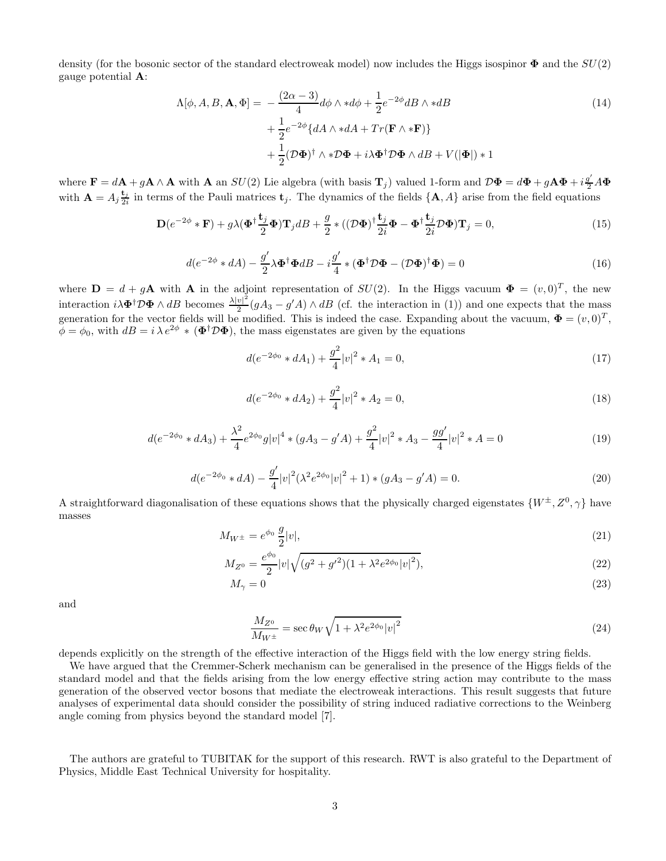density (for the bosonic sector of the standard electroweak model) now includes the Higgs isospinor  $\Phi$  and the  $SU(2)$ gauge potential A:

$$
\Lambda[\phi, A, B, \mathbf{A}, \Phi] = -\frac{(2\alpha - 3)}{4} d\phi \wedge *d\phi + \frac{1}{2} e^{-2\phi} dB \wedge *dB
$$
  
+ 
$$
\frac{1}{2} e^{-2\phi} \{ dA \wedge *dA + Tr(\mathbf{F} \wedge * \mathbf{F}) \}
$$
  
+ 
$$
\frac{1}{2} (\mathcal{D}\Phi)^{\dagger} \wedge * \mathcal{D}\Phi + i\lambda \Phi^{\dagger} \mathcal{D}\Phi \wedge dB + V(|\Phi|) * 1
$$
 (14)

where  $\mathbf{F} = d\mathbf{A} + g\mathbf{A} \wedge \mathbf{A}$  with  $\mathbf{A}$  an  $SU(2)$  Lie algebra (with basis  $\mathbf{T}_j$ ) valued 1-form and  $\mathcal{D}\mathbf{\Phi} = d\mathbf{\Phi} + g\mathbf{A}\mathbf{\Phi} + i\frac{g'}{2}A\mathbf{\Phi}$ with  $\mathbf{A} = A_j \frac{\mathbf{t}_j}{2i}$  $\frac{\mathbf{c}_j}{2i}$  in terms of the Pauli matrices  $\mathbf{t}_j$ . The dynamics of the fields  $\{\mathbf{A}, A\}$  arise from the field equations

$$
\mathbf{D}(e^{-2\phi} * \mathbf{F}) + g\lambda(\Phi^{\dagger} \frac{\mathbf{t}_j}{2} \Phi) \mathbf{T}_j dB + \frac{g}{2} * ((\mathcal{D}\Phi)^{\dagger} \frac{\mathbf{t}_j}{2i} \Phi - \Phi^{\dagger} \frac{\mathbf{t}_j}{2i} \mathcal{D}\Phi) \mathbf{T}_j = 0,
$$
\n(15)

$$
d(e^{-2\phi} * dA) - \frac{g'}{2} \lambda \Phi^{\dagger} \Phi dB - i \frac{g'}{4} * (\Phi^{\dagger} \mathcal{D} \Phi - (\mathcal{D} \Phi)^{\dagger} \Phi) = 0
$$
\n(16)

where  $\mathbf{D} = d + g\mathbf{A}$  with  $\mathbf{A}$  in the adjoint representation of  $SU(2)$ . In the Higgs vacuum  $\mathbf{\Phi} = (v, 0)^T$ , the new interaction  $i\lambda \Phi^{\dagger} \mathcal{D} \Phi \wedge dB$  becomes  $\frac{\lambda |v|^2}{2} (gA_3 - g'A) \wedge dB$  (cf. the interaction in (1)) and one expects that the mass generation for the vector fields will be modified. This is indeed the case. Expanding about the vacuum,  $\mathbf{\Phi} = (v, 0)^T$ ,  $\phi = \phi_0$ , with  $dB = i \lambda e^{2\phi} * (\Phi^{\dagger} \mathcal{D} \Phi)$ , the mass eigenstates are given by the equations

$$
d(e^{-2\phi_0} * dA_1) + \frac{g^2}{4}|v|^2 * A_1 = 0,
$$
\n(17)

$$
d(e^{-2\phi_0} * dA_2) + \frac{g^2}{4} |v|^2 * A_2 = 0,
$$
\n(18)

$$
d(e^{-2\phi_0} * dA_3) + \frac{\lambda^2}{4} e^{2\phi_0} g |v|^4 * (gA_3 - g'A) + \frac{g^2}{4} |v|^2 * A_3 - \frac{gg'}{4} |v|^2 * A = 0
$$
\n(19)

$$
d(e^{-2\phi_0} * dA) - \frac{g'}{4}|v|^2(\lambda^2 e^{2\phi_0}|v|^2 + 1) * (gA_3 - g'A) = 0.
$$
 (20)

A straightforward diagonalisation of these equations shows that the physically charged eigenstates  $\{W^{\pm}, Z^0, \gamma\}$  have masses

$$
M_{W^{\pm}} = e^{\phi_0} \frac{g}{2} |v|,\tag{21}
$$

$$
M_{Z^0} = \frac{e^{\phi_0}}{2} |v| \sqrt{(g^2 + g'^2)(1 + \lambda^2 e^{2\phi_0} |v|^2)},
$$
\n(22)

$$
M_{\gamma} = 0 \tag{23}
$$

and

$$
\frac{M_{Z^0}}{M_{W^\pm}} = \sec \theta_W \sqrt{1 + \lambda^2 e^{2\phi_0} |v|^2}
$$
\n(24)

depends explicitly on the strength of the effective interaction of the Higgs field with the low energy string fields.

We have argued that the Cremmer-Scherk mechanism can be generalised in the presence of the Higgs fields of the standard model and that the fields arising from the low energy effective string action may contribute to the mass generation of the observed vector bosons that mediate the electroweak interactions. This result suggests that future analyses of experimental data should consider the possibility of string induced radiative corrections to the Weinberg angle coming from physics beyond the standard model [7].

The authors are grateful to TUBITAK for the support of this research. RWT is also grateful to the Department of Physics, Middle East Technical University for hospitality.